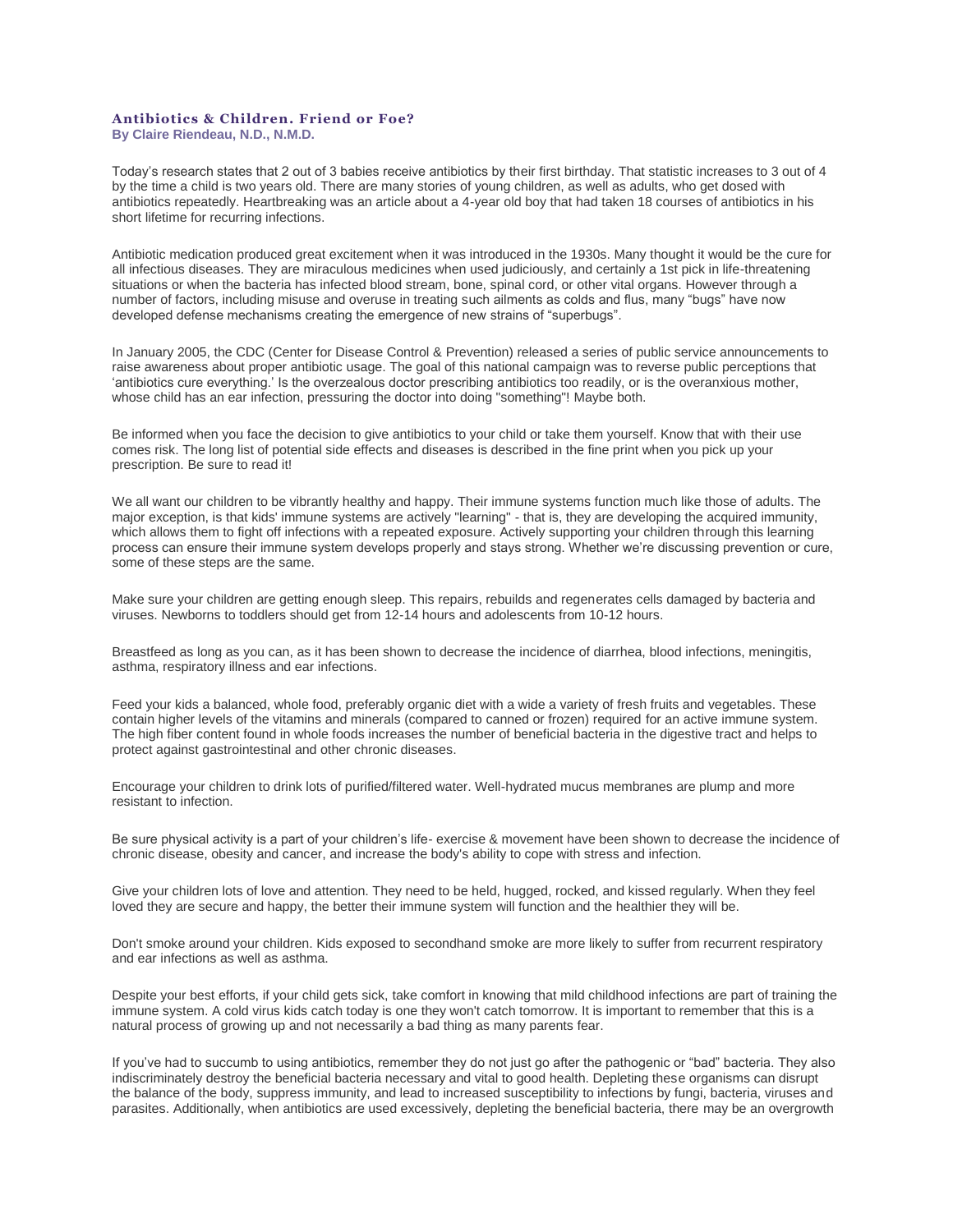## **Antibiotics & Children. Friend or Foe?**

**By Claire Riendeau, N.D., N.M.D.**

Today's research states that 2 out of 3 babies receive antibiotics by their first birthday. That statistic increases to 3 out of 4 by the time a child is two years old. There are many stories of young children, as well as adults, who get dosed with antibiotics repeatedly. Heartbreaking was an article about a 4-year old boy that had taken 18 courses of antibiotics in his short lifetime for recurring infections.

Antibiotic medication produced great excitement when it was introduced in the 1930s. Many thought it would be the cure for all infectious diseases. They are miraculous medicines when used judiciously, and certainly a 1st pick in life-threatening situations or when the bacteria has infected blood stream, bone, spinal cord, or other vital organs. However through a number of factors, including misuse and overuse in treating such ailments as colds and flus, many "bugs" have now developed defense mechanisms creating the emergence of new strains of "superbugs".

In January 2005, the CDC (Center for Disease Control & Prevention) released a series of public service announcements to raise awareness about proper antibiotic usage. The goal of this national campaign was to reverse public perceptions that 'antibiotics cure everything.' Is the overzealous doctor prescribing antibiotics too readily, or is the overanxious mother, whose child has an ear infection, pressuring the doctor into doing "something"! Maybe both.

Be informed when you face the decision to give antibiotics to your child or take them yourself. Know that with their use comes risk. The long list of potential side effects and diseases is described in the fine print when you pick up your prescription. Be sure to read it!

We all want our children to be vibrantly healthy and happy. Their immune systems function much like those of adults. The major exception, is that kids' immune systems are actively "learning" - that is, they are developing the acquired immunity, which allows them to fight off infections with a repeated exposure. Actively supporting your children through this learning process can ensure their immune system develops properly and stays strong. Whether we're discussing prevention or cure, some of these steps are the same.

Make sure your children are getting enough sleep. This repairs, rebuilds and regenerates cells damaged by bacteria and viruses. Newborns to toddlers should get from 12-14 hours and adolescents from 10-12 hours.

Breastfeed as long as you can, as it has been shown to decrease the incidence of diarrhea, blood infections, meningitis, asthma, respiratory illness and ear infections.

Feed your kids a balanced, whole food, preferably organic diet with a wide a variety of fresh fruits and vegetables. These contain higher levels of the vitamins and minerals (compared to canned or frozen) required for an active immune system. The high fiber content found in whole foods increases the number of beneficial bacteria in the digestive tract and helps to protect against gastrointestinal and other chronic diseases.

Encourage your children to drink lots of purified/filtered water. Well-hydrated mucus membranes are plump and more resistant to infection.

Be sure physical activity is a part of your children's life- exercise & movement have been shown to decrease the incidence of chronic disease, obesity and cancer, and increase the body's ability to cope with stress and infection.

Give your children lots of love and attention. They need to be held, hugged, rocked, and kissed regularly. When they feel loved they are secure and happy, the better their immune system will function and the healthier they will be.

Don't smoke around your children. Kids exposed to secondhand smoke are more likely to suffer from recurrent respiratory and ear infections as well as asthma.

Despite your best efforts, if your child gets sick, take comfort in knowing that mild childhood infections are part of training the immune system. A cold virus kids catch today is one they won't catch tomorrow. It is important to remember that this is a natural process of growing up and not necessarily a bad thing as many parents fear.

If you've had to succumb to using antibiotics, remember they do not just go after the pathogenic or "bad" bacteria. They also indiscriminately destroy the beneficial bacteria necessary and vital to good health. Depleting these organisms can disrupt the balance of the body, suppress immunity, and lead to increased susceptibility to infections by fungi, bacteria, viruses and parasites. Additionally, when antibiotics are used excessively, depleting the beneficial bacteria, there may be an overgrowth